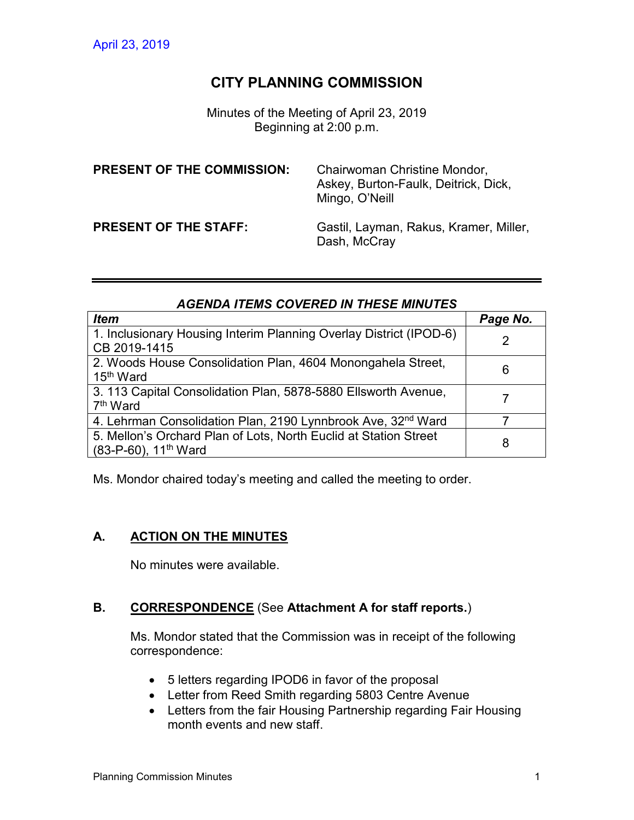# **CITY PLANNING COMMISSION**

Minutes of the Meeting of April 23, 2019 Beginning at 2:00 p.m.

| <b>PRESENT OF THE COMMISSION:</b> | Chairwoman Christine Mondor,<br>Askey, Burton-Faulk, Deitrick, Dick,<br>Mingo, O'Neill |
|-----------------------------------|----------------------------------------------------------------------------------------|
| <b>PRESENT OF THE STAFF:</b>      | Gastil, Layman, Rakus, Kramer, Miller,<br>Dash, McCray                                 |

## *AGENDA ITEMS COVERED IN THESE MINUTES*

| <b>Item</b>                                                                                             | Page No. |
|---------------------------------------------------------------------------------------------------------|----------|
| 1. Inclusionary Housing Interim Planning Overlay District (IPOD-6)                                      | 2        |
| CB 2019-1415                                                                                            |          |
| 2. Woods House Consolidation Plan, 4604 Monongahela Street,<br>15 <sup>th</sup> Ward                    | 6        |
| 3. 113 Capital Consolidation Plan, 5878-5880 Ellsworth Avenue,<br>7 <sup>th</sup> Ward                  |          |
| 4. Lehrman Consolidation Plan, 2190 Lynnbrook Ave, 32 <sup>nd</sup> Ward                                |          |
| 5. Mellon's Orchard Plan of Lots, North Euclid at Station Street<br>$(83-P-60)$ , 11 <sup>th</sup> Ward | 8        |

Ms. Mondor chaired today's meeting and called the meeting to order.

## **A. ACTION ON THE MINUTES**

No minutes were available.

#### **B. CORRESPONDENCE** (See **Attachment A for staff reports.**)

Ms. Mondor stated that the Commission was in receipt of the following correspondence:

- 5 letters regarding IPOD6 in favor of the proposal
- Letter from Reed Smith regarding 5803 Centre Avenue
- Letters from the fair Housing Partnership regarding Fair Housing month events and new staff.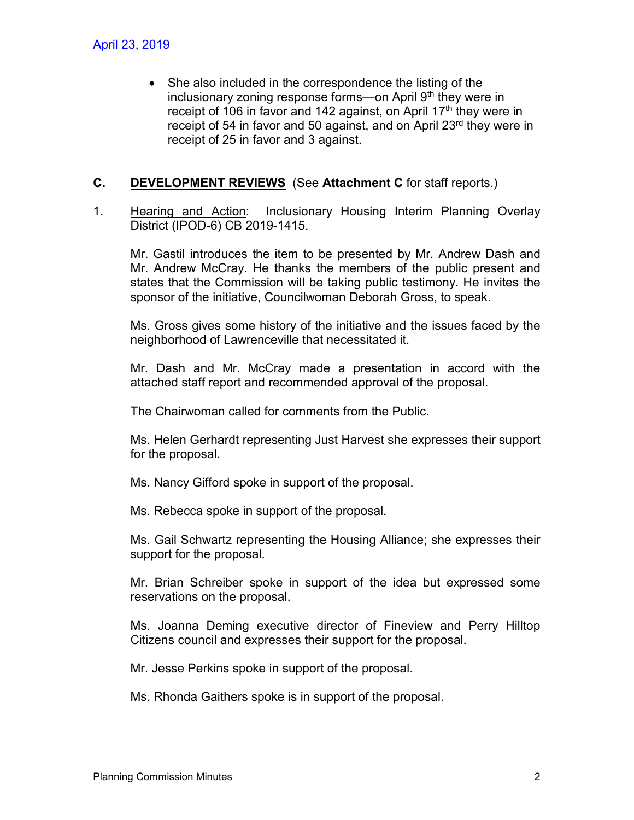• She also included in the correspondence the listing of the inclusionary zoning response forms—on April  $9<sup>th</sup>$  they were in receipt of 106 in favor and 142 against, on April  $17<sup>th</sup>$  they were in receipt of 54 in favor and 50 against, and on April 23<sup>rd</sup> they were in receipt of 25 in favor and 3 against.

### **C. DEVELOPMENT REVIEWS** (See **Attachment C** for staff reports.)

1. Hearing and Action: Inclusionary Housing Interim Planning Overlay District (IPOD-6) CB 2019-1415.

Mr. Gastil introduces the item to be presented by Mr. Andrew Dash and Mr. Andrew McCray. He thanks the members of the public present and states that the Commission will be taking public testimony. He invites the sponsor of the initiative, Councilwoman Deborah Gross, to speak.

Ms. Gross gives some history of the initiative and the issues faced by the neighborhood of Lawrenceville that necessitated it.

Mr. Dash and Mr. McCray made a presentation in accord with the attached staff report and recommended approval of the proposal.

The Chairwoman called for comments from the Public.

Ms. Helen Gerhardt representing Just Harvest she expresses their support for the proposal.

Ms. Nancy Gifford spoke in support of the proposal.

Ms. Rebecca spoke in support of the proposal.

Ms. Gail Schwartz representing the Housing Alliance; she expresses their support for the proposal.

Mr. Brian Schreiber spoke in support of the idea but expressed some reservations on the proposal.

Ms. Joanna Deming executive director of Fineview and Perry Hilltop Citizens council and expresses their support for the proposal.

Mr. Jesse Perkins spoke in support of the proposal.

Ms. Rhonda Gaithers spoke is in support of the proposal.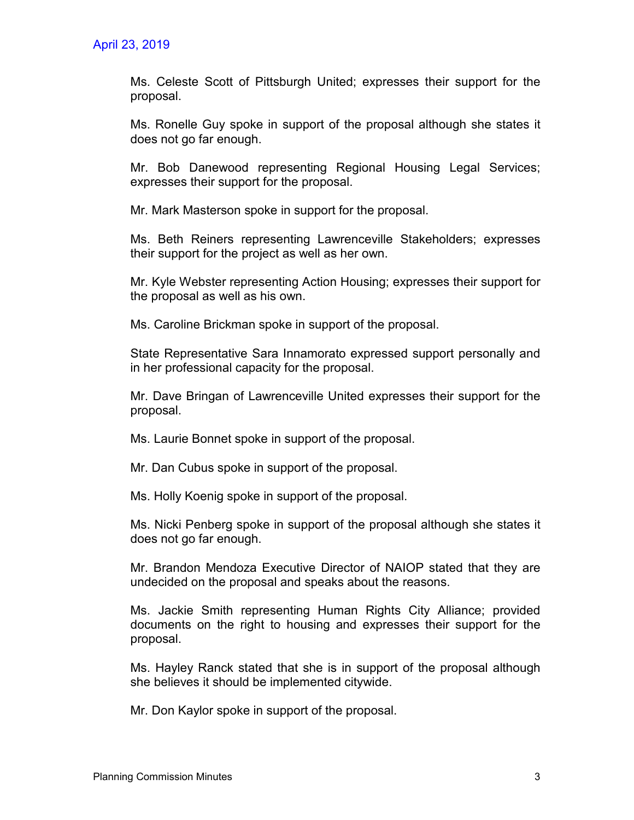Ms. Celeste Scott of Pittsburgh United; expresses their support for the proposal.

Ms. Ronelle Guy spoke in support of the proposal although she states it does not go far enough.

Mr. Bob Danewood representing Regional Housing Legal Services; expresses their support for the proposal.

Mr. Mark Masterson spoke in support for the proposal.

Ms. Beth Reiners representing Lawrenceville Stakeholders; expresses their support for the project as well as her own.

Mr. Kyle Webster representing Action Housing; expresses their support for the proposal as well as his own.

Ms. Caroline Brickman spoke in support of the proposal.

State Representative Sara Innamorato expressed support personally and in her professional capacity for the proposal.

Mr. Dave Bringan of Lawrenceville United expresses their support for the proposal.

Ms. Laurie Bonnet spoke in support of the proposal.

Mr. Dan Cubus spoke in support of the proposal.

Ms. Holly Koenig spoke in support of the proposal.

Ms. Nicki Penberg spoke in support of the proposal although she states it does not go far enough.

Mr. Brandon Mendoza Executive Director of NAIOP stated that they are undecided on the proposal and speaks about the reasons.

Ms. Jackie Smith representing Human Rights City Alliance; provided documents on the right to housing and expresses their support for the proposal.

Ms. Hayley Ranck stated that she is in support of the proposal although she believes it should be implemented citywide.

Mr. Don Kaylor spoke in support of the proposal.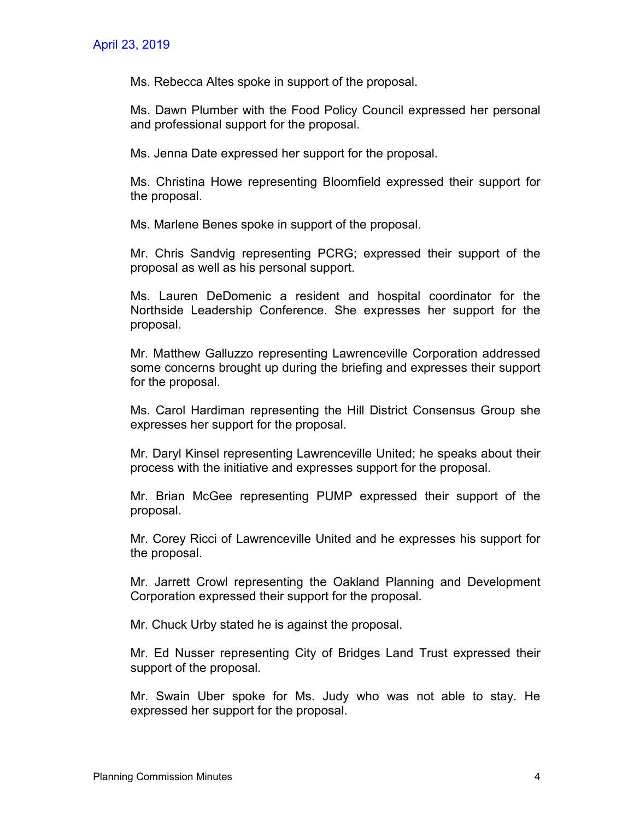Ms. Rebecca Altes spoke in support of the proposal.

Ms. Dawn Plumber with the Food Policy Council expressed her personal and professional support for the proposal.

Ms. Jenna Date expressed her support for the proposal.

Ms. Christina Howe representing Bloomfield expressed their support for the proposal.

Ms. Marlene Benes spoke in support of the proposal.

Mr. Chris Sandvig representing PCRG; expressed their support of the proposal as well as his personal support.

Ms. Lauren DeDomenic a resident and hospital coordinator for the Northside Leadership Conference. She expresses her support for the proposal.

Mr. Matthew Galluzzo representing Lawrenceville Corporation addressed some concerns brought up during the briefing and expresses their support for the proposal.

Ms. Carol Hardiman representing the Hill District Consensus Group she expresses her support for the proposal.

Mr. Daryl Kinsel representing Lawrenceville United; he speaks about their process with the initiative and expresses support for the proposal.

Mr. Brian McGee representing PUMP expressed their support of the proposal.

Mr. Corey Ricci of Lawrenceville United and he expresses his support for the proposal.

Mr. Jarrett Crowl representing the Oakland Planning and Development Corporation expressed their support for the proposal.

Mr. Chuck Urby stated he is against the proposal.

Mr. Ed Nusser representing City of Bridges Land Trust expressed their support of the proposal.

Mr. Swain Uber spoke for Ms. Judy who was not able to stay. He expressed her support for the proposal.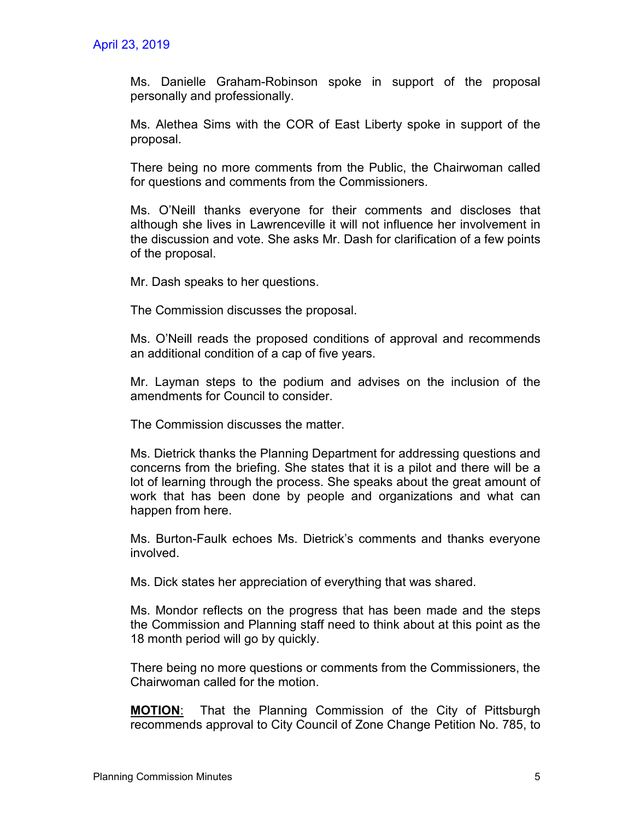Ms. Danielle Graham-Robinson spoke in support of the proposal personally and professionally.

Ms. Alethea Sims with the COR of East Liberty spoke in support of the proposal.

There being no more comments from the Public, the Chairwoman called for questions and comments from the Commissioners.

Ms. O'Neill thanks everyone for their comments and discloses that although she lives in Lawrenceville it will not influence her involvement in the discussion and vote. She asks Mr. Dash for clarification of a few points of the proposal.

Mr. Dash speaks to her questions.

The Commission discusses the proposal.

Ms. O'Neill reads the proposed conditions of approval and recommends an additional condition of a cap of five years.

Mr. Layman steps to the podium and advises on the inclusion of the amendments for Council to consider.

The Commission discusses the matter.

Ms. Dietrick thanks the Planning Department for addressing questions and concerns from the briefing. She states that it is a pilot and there will be a lot of learning through the process. She speaks about the great amount of work that has been done by people and organizations and what can happen from here.

Ms. Burton-Faulk echoes Ms. Dietrick's comments and thanks everyone involved.

Ms. Dick states her appreciation of everything that was shared.

Ms. Mondor reflects on the progress that has been made and the steps the Commission and Planning staff need to think about at this point as the 18 month period will go by quickly.

There being no more questions or comments from the Commissioners, the Chairwoman called for the motion.

**MOTION**: That the Planning Commission of the City of Pittsburgh recommends approval to City Council of Zone Change Petition No. 785, to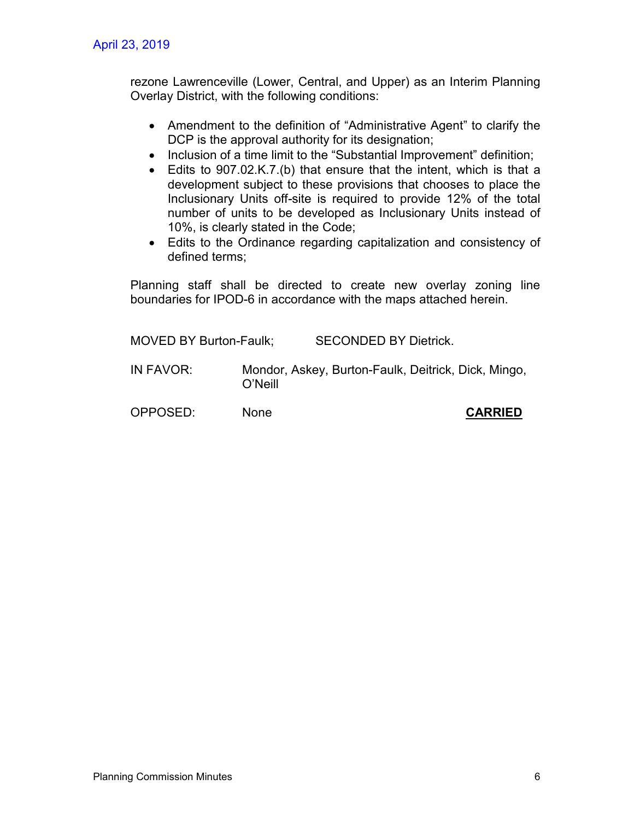rezone Lawrenceville (Lower, Central, and Upper) as an Interim Planning Overlay District, with the following conditions:

- Amendment to the definition of "Administrative Agent" to clarify the DCP is the approval authority for its designation;
- Inclusion of a time limit to the "Substantial Improvement" definition;
- Edits to 907.02.K.7.(b) that ensure that the intent, which is that a development subject to these provisions that chooses to place the Inclusionary Units off-site is required to provide 12% of the total number of units to be developed as Inclusionary Units instead of 10%, is clearly stated in the Code;
- Edits to the Ordinance regarding capitalization and consistency of defined terms;

Planning staff shall be directed to create new overlay zoning line boundaries for IPOD-6 in accordance with the maps attached herein.

| <b>MOVED BY Burton-Faulk;</b> |             | <b>SECONDED BY Dietrick.</b>                        |
|-------------------------------|-------------|-----------------------------------------------------|
| IN FAVOR:                     | O'Neill     | Mondor, Askey, Burton-Faulk, Deitrick, Dick, Mingo, |
| OPPOSED:                      | <b>None</b> | <b>CARRIED</b>                                      |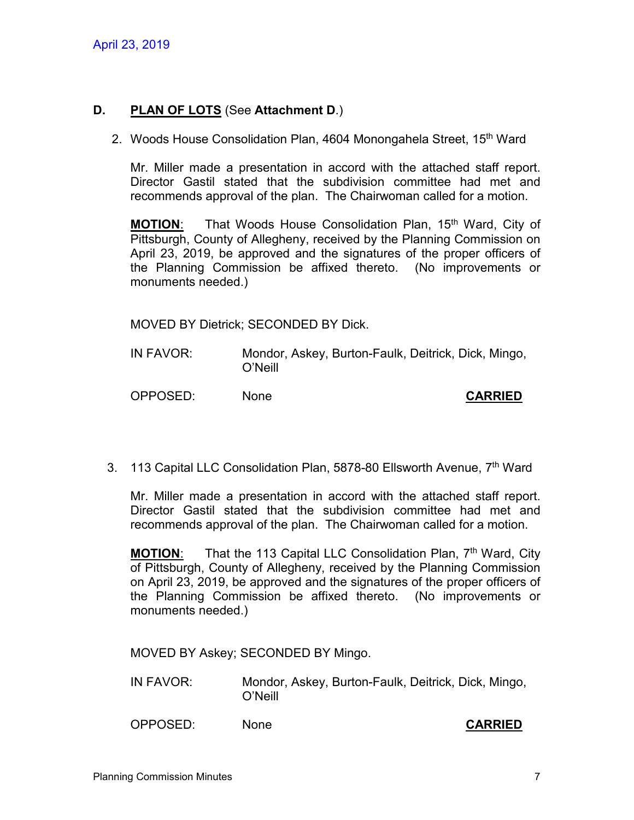### **D. PLAN OF LOTS** (See **Attachment D**.)

2. Woods House Consolidation Plan, 4604 Monongahela Street, 15<sup>th</sup> Ward

Mr. Miller made a presentation in accord with the attached staff report. Director Gastil stated that the subdivision committee had met and recommends approval of the plan. The Chairwoman called for a motion.

**MOTION:** That Woods House Consolidation Plan, 15<sup>th</sup> Ward, City of Pittsburgh, County of Allegheny, received by the Planning Commission on April 23, 2019, be approved and the signatures of the proper officers of the Planning Commission be affixed thereto. (No improvements or monuments needed.)

MOVED BY Dietrick; SECONDED BY Dick.

- IN FAVOR: Mondor, Askey, Burton-Faulk, Deitrick, Dick, Mingo, O'Neill
- OPPOSED: None **CARRIED**

3. 113 Capital LLC Consolidation Plan, 5878-80 Ellsworth Avenue, 7<sup>th</sup> Ward

Mr. Miller made a presentation in accord with the attached staff report. Director Gastil stated that the subdivision committee had met and recommends approval of the plan. The Chairwoman called for a motion.

**MOTION:** That the 113 Capital LLC Consolidation Plan, 7<sup>th</sup> Ward, City of Pittsburgh, County of Allegheny, received by the Planning Commission on April 23, 2019, be approved and the signatures of the proper officers of the Planning Commission be affixed thereto. (No improvements or monuments needed.)

MOVED BY Askey; SECONDED BY Mingo.

- IN FAVOR: Mondor, Askey, Burton-Faulk, Deitrick, Dick, Mingo, O'Neill
- OPPOSED: None **CARRIED**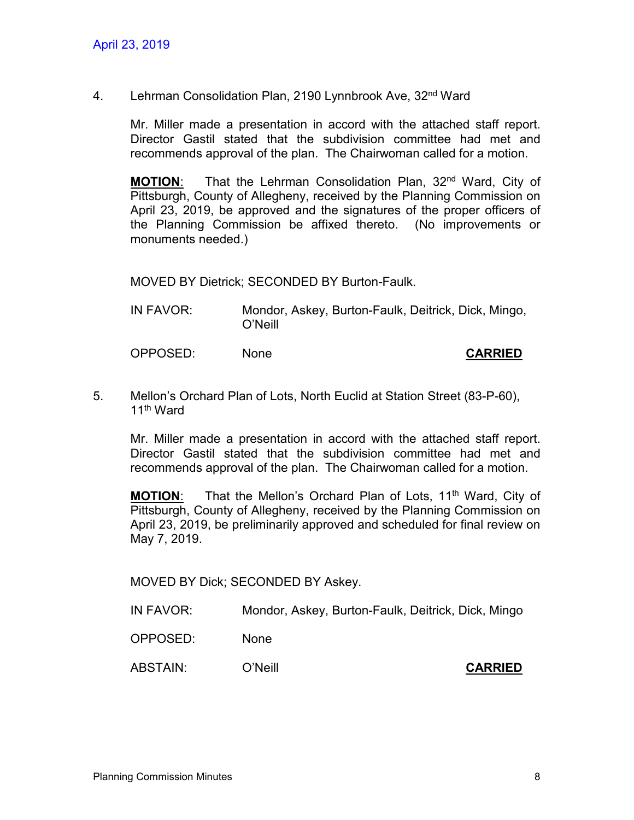4. Lehrman Consolidation Plan, 2190 Lynnbrook Ave, 32<sup>nd</sup> Ward

Mr. Miller made a presentation in accord with the attached staff report. Director Gastil stated that the subdivision committee had met and recommends approval of the plan. The Chairwoman called for a motion.

**MOTION:** That the Lehrman Consolidation Plan, 32<sup>nd</sup> Ward, City of Pittsburgh, County of Allegheny, received by the Planning Commission on April 23, 2019, be approved and the signatures of the proper officers of the Planning Commission be affixed thereto. (No improvements or monuments needed.)

MOVED BY Dietrick; SECONDED BY Burton-Faulk.

IN FAVOR: Mondor, Askey, Burton-Faulk, Deitrick, Dick, Mingo, O'Neill

OPPOSED: None **CARRIED**

5. Mellon's Orchard Plan of Lots, North Euclid at Station Street (83-P-60), 11th Ward

Mr. Miller made a presentation in accord with the attached staff report. Director Gastil stated that the subdivision committee had met and recommends approval of the plan. The Chairwoman called for a motion.

**MOTION:** That the Mellon's Orchard Plan of Lots, 11<sup>th</sup> Ward, City of Pittsburgh, County of Allegheny, received by the Planning Commission on April 23, 2019, be preliminarily approved and scheduled for final review on May 7, 2019.

MOVED BY Dick; SECONDED BY Askey.

- IN FAVOR: Mondor, Askey, Burton-Faulk, Deitrick, Dick, Mingo
- OPPOSED: None
- ABSTAIN: O'Neill **CARRIED**